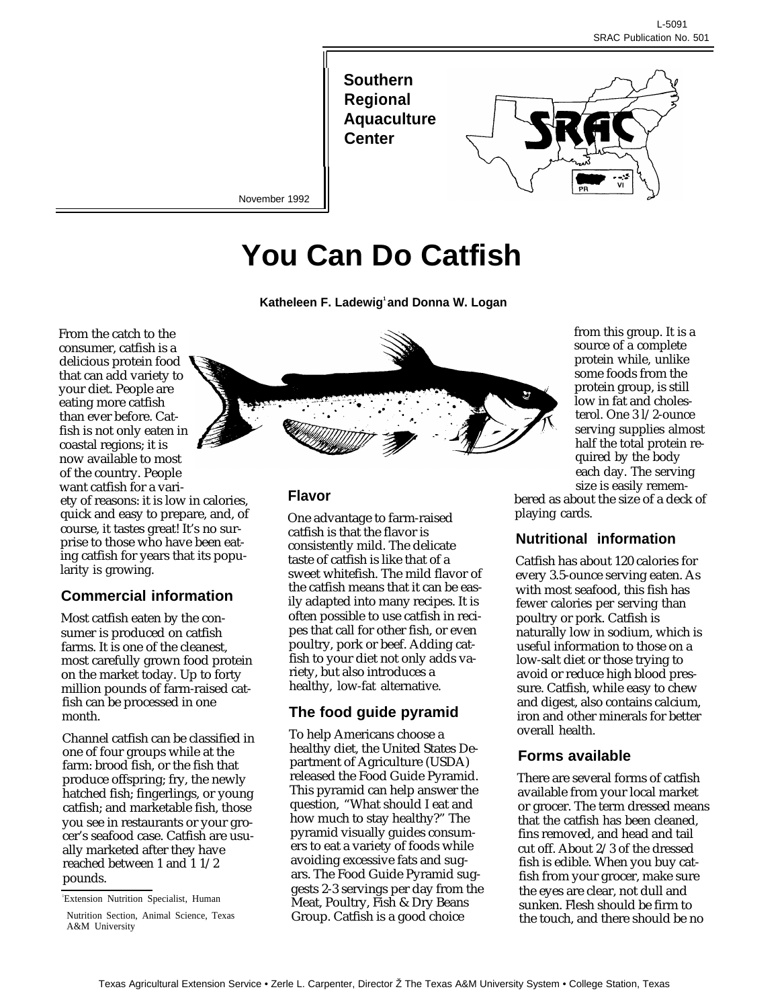**Southern Regional Aquaculture Center**

II



November 1992

# **You Can Do Catfish**

**Katheleen F. Ladewig<sup>1</sup>and Donna W. Logan**

From the catch to the consumer, catfish is a delicious protein food that can add variety to your diet. People are eating more catfish than ever before. Catfish is not only eaten in coastal regions; it is now available to most of the country. People want catfish for a variety of reasons: it is low in calories, quick and easy to prepare, and, of course, it tastes great! It's no surprise to those who have been eating catfish for years that its popularity is growing.

# **Commercial information**

Most catfish eaten by the consumer is produced on catfish farms. It is one of the cleanest, most carefully grown food protein on the market today. Up to forty million pounds of farm-raised catfish can be processed in one month.

Channel catfish can be classified in one of four groups while at the farm: brood fish, or the fish that produce offspring; fry, the newly hatched fish; fingerlings, or young catfish; and marketable fish, those you see in restaurants or your grocer's seafood case. Catfish are usually marketed after they have reached between 1 and 1 1/2 pounds.

<sup>1</sup>Extension Nutrition Specialist, Human



### **Flavor**

One advantage to farm-raised catfish is that the flavor is consistently mild. The delicate taste of catfish is like that of a sweet whitefish. The mild flavor of the catfish means that it can be easily adapted into many recipes. It is often possible to use catfish in recipes that call for other fish, or even poultry, pork or beef. Adding catfish to your diet not only adds variety, but also introduces a healthy, low-fat alternative.

# **The food guide pyramid**

To help Americans choose a healthy diet, the United States Department of Agriculture (USDA) released the Food Guide Pyramid. This pyramid can help answer the question, "What should I eat and how much to stay healthy?" The pyramid visually guides consumers to eat a variety of foods while avoiding excessive fats and sugars. The Food Guide Pyramid suggests 2-3 servings per day from the Meat, Poultry, Fish & Dry Beans Group. Catfish is a good choice

from this group. It is a source of a complete protein while, unlike some foods from the protein group, is still low in fat and cholesterol. One 3 l/2-ounce serving supplies almost half the total protein required by the body each day. The serving size is easily remem-

bered as about the size of a deck of playing cards.

# **Nutritional information**

Catfish has about 120 calories for every 3.5-ounce serving eaten. As with most seafood, this fish has fewer calories per serving than poultry or pork. Catfish is naturally low in sodium, which is useful information to those on a low-salt diet or those trying to avoid or reduce high blood pressure. Catfish, while easy to chew and digest, also contains calcium, iron and other minerals for better overall health.

### **Forms available**

There are several forms of catfish available from your local market or grocer. The term dressed means that the catfish has been cleaned, fins removed, and head and tail cut off. About 2/3 of the dressed fish is edible. When you buy catfish from your grocer, make sure the eyes are clear, not dull and sunken. Flesh should be firm to the touch, and there should be no

Nutrition Section, Animal Science, Texas A&M University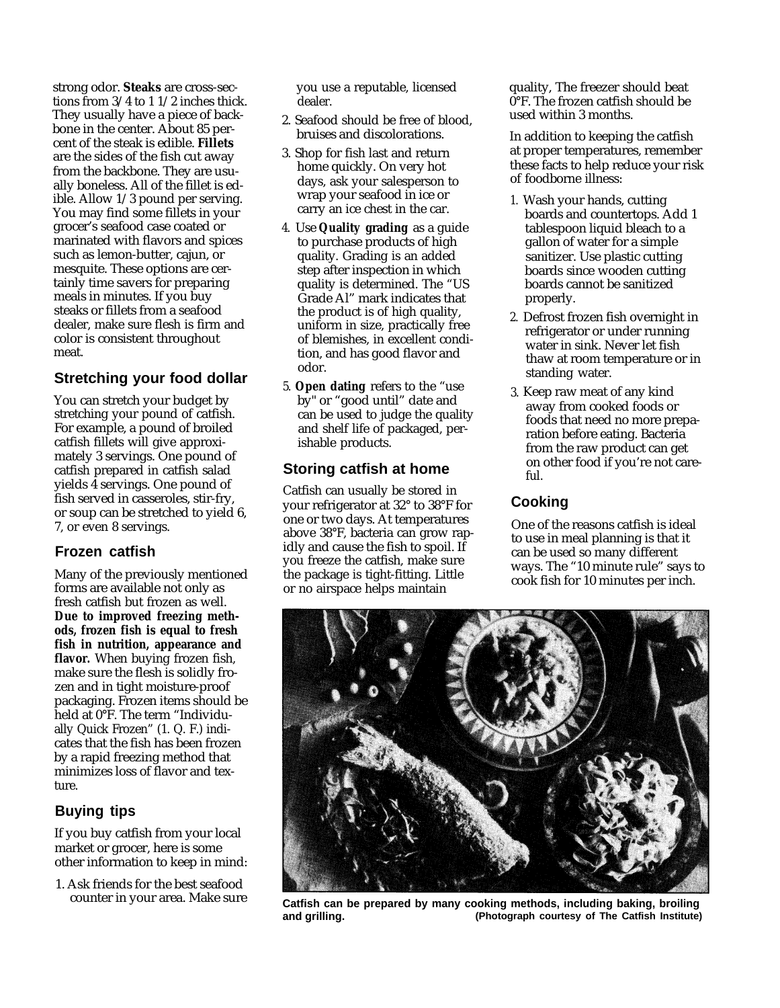strong odor. **Steaks** are cross-sections from 3/4 to 1 1/2 inches thick. They usually have a piece of backbone in the center. About 85 percent of the steak is edible. **Fillets** are the sides of the fish cut away from the backbone. They are usually boneless. All of the fillet is edible. Allow 1/3 pound per serving. You may find some fillets in your grocer's seafood case coated or marinated with flavors and spices such as lemon-butter, cajun, or mesquite. These options are certainly time savers for preparing meals in minutes. If you buy steaks or fillets from a seafood dealer, make sure flesh is firm and color is consistent throughout meat.

# **Stretching your food dollar**

You can stretch your budget by stretching your pound of catfish. For example, a pound of broiled catfish fillets will give approximately 3 servings. One pound of catfish prepared in catfish salad yields 4 servings. One pound of fish served in casseroles, stir-fry, or soup can be stretched to yield 6, 7, or even 8 servings.

### **Frozen catfish**

Many of the previously mentioned forms are available not only as fresh catfish but frozen as well. **Due to improved freezing methods, frozen fish is equal to fresh fish in nutrition, appearance and flavor.** When buying frozen fish, make sure the flesh is solidly frozen and in tight moisture-proof packaging. Frozen items should be held at 0°F. The term "Individually Quick Frozen" (1. Q. F.) indicates that the fish has been frozen by a rapid freezing method that minimizes loss of flavor and texture.

# **Buying tips**

If you buy catfish from your local market or grocer, here is some other information to keep in mind:

1. Ask friends for the best seafood counter in your area. Make sure you use a reputable, licensed dealer.

- 2. Seafood should be free of blood, bruises and discolorations.
- 3. Shop for fish last and return home quickly. On very hot days, ask your salesperson to wrap your seafood in ice or carry an ice chest in the car.
- 4. Use **Quality grading** as a guide to purchase products of high quality. Grading is an added step after inspection in which quality is determined. The "US Grade Al" mark indicates that the product is of high quality, uniform in size, practically free of blemishes, in excellent condition, and has good flavor and odor.
- 5. **Open dating** refers to the "use by" or "good until" date and can be used to judge the quality and shelf life of packaged, perishable products.

# **Storing catfish at home**

Catfish can usually be stored in your refrigerator at 32° to 38°F for one or two days. At temperatures above 38°F, bacteria can grow rapidly and cause the fish to spoil. If you freeze the catfish, make sure the package is tight-fitting. Little or no airspace helps maintain

quality, The freezer should beat 0°F. The frozen catfish should be used within 3 months.

In addition to keeping the catfish at proper temperatures, remember these facts to help reduce your risk of foodborne illness:

- 1. Wash your hands, cutting boards and countertops. Add 1 tablespoon liquid bleach to a gallon of water for a simple sanitizer. Use plastic cutting boards since wooden cutting boards cannot be sanitized properly.
- 2. Defrost frozen fish overnight in refrigerator or under running water in sink. Never let fish thaw at room temperature or in standing water.
- 3. Keep raw meat of any kind away from cooked foods or foods that need no more preparation before eating. Bacteria from the raw product can get on other food if you're not careful.

# **Cooking**

One of the reasons catfish is ideal to use in meal planning is that it can be used so many different ways. The "10 minute rule" says to cook fish for 10 minutes per inch.



**Catfish can be prepared by many cooking methods, including baking, broiling and grilling. (Photograph courtesy of The Catfish Institute)**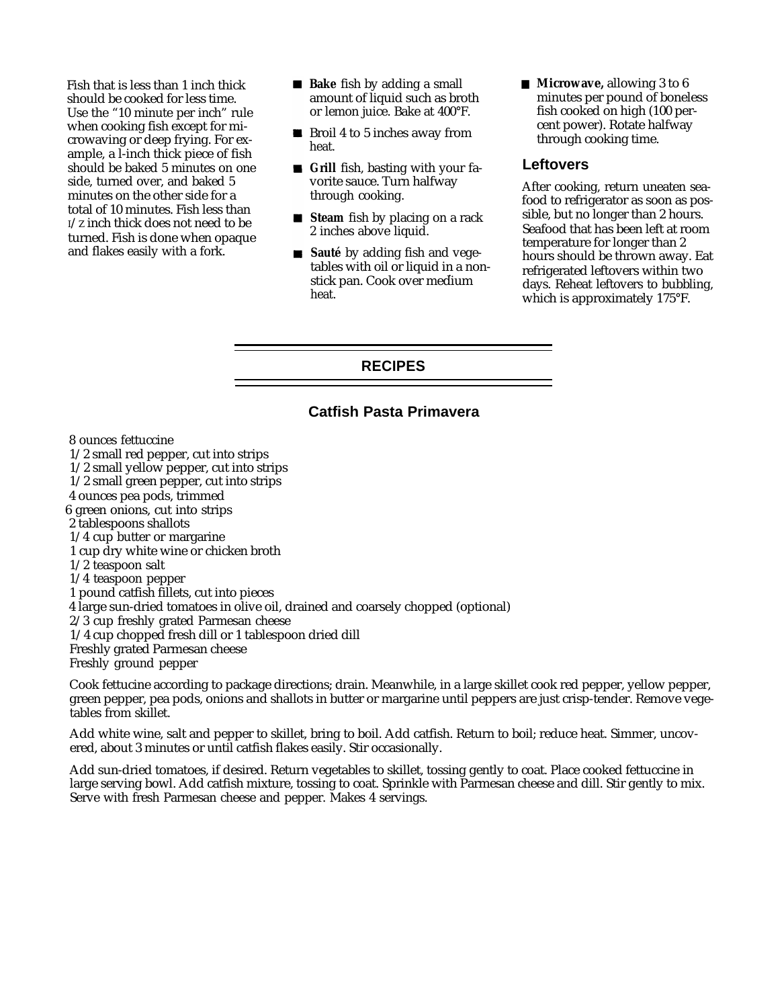Fish that is less than 1 inch thick should be cooked for less time. Use the "10 minute per inch" rule when cooking fish except for microwaving or deep frying. For example, a l-inch thick piece of fish should be baked 5 minutes on one side, turned over, and baked 5 minutes on the other side for a total of 10 minutes. Fish less than I/Z inch thick does not need to be turned. Fish is done when opaque and flakes easily with a fork.

- **Bake** fish by adding a small amount of liquid such as broth or lemon juice. Bake at 400°F.
- Broil 4 to 5 inches away from heat.
- **Grill** fish, basting with your favorite sauce. Turn halfway through cooking.
- **Steam** fish by placing on a rack 2 inches above liquid.
- **Sauté** by adding fish and vegetables with oil or liquid in a non stick pan. Cook over medium

**Microwave, allowing 3 to 6** minutes per pound of boneless fish cooked on high (100 percent power). Rotate halfway through cooking time.

#### **Leftovers**

After cooking, return uneaten seafood to refrigerator as soon as possible, but no longer than 2 hours. Seafood that has been left at room temperature for longer than 2 hours should be thrown away. Eat refrigerated leftovers within two stick pan. Cook over medium days. Reheat leftovers to bubbling,<br>heat. This is approximately 175°F. which is approximately  $175^{\circ}$ F.

#### **RECIPES**

### **Catfish Pasta Primavera**

8 ounces fettuccine

1/2 small red pepper, cut into strips

1/2 small yellow pepper, cut into strips

1/2 small green pepper, cut into strips

4 ounces pea pods, trimmed

6 green onions, cut into strips

2 tablespoons shallots

1/4 cup butter or margarine

1 cup dry white wine or chicken broth

1/2 teaspoon salt

1/4 teaspoon pepper

1 pound catfish fillets, cut into pieces

4 large sun-dried tomatoes in olive oil, drained and coarsely chopped (optional)

2/3 cup freshly grated Parmesan cheese

1/4 cup chopped fresh dill or 1 tablespoon dried dill

Freshly grated Parmesan cheese

Freshly ground pepper

Cook fettucine according to package directions; drain. Meanwhile, in a large skillet cook red pepper, yellow pepper, green pepper, pea pods, onions and shallots in butter or margarine until peppers are just crisp-tender. Remove vegetables from skillet.

Add white wine, salt and pepper to skillet, bring to boil. Add catfish. Return to boil; reduce heat. Simmer, uncovered, about 3 minutes or until catfish flakes easily. Stir occasionally.

Add sun-dried tomatoes, if desired. Return vegetables to skillet, tossing gently to coat. Place cooked fettuccine in large serving bowl. Add catfish mixture, tossing to coat. Sprinkle with Parmesan cheese and dill. Stir gently to mix. Serve with fresh Parmesan cheese and pepper. Makes 4 servings.